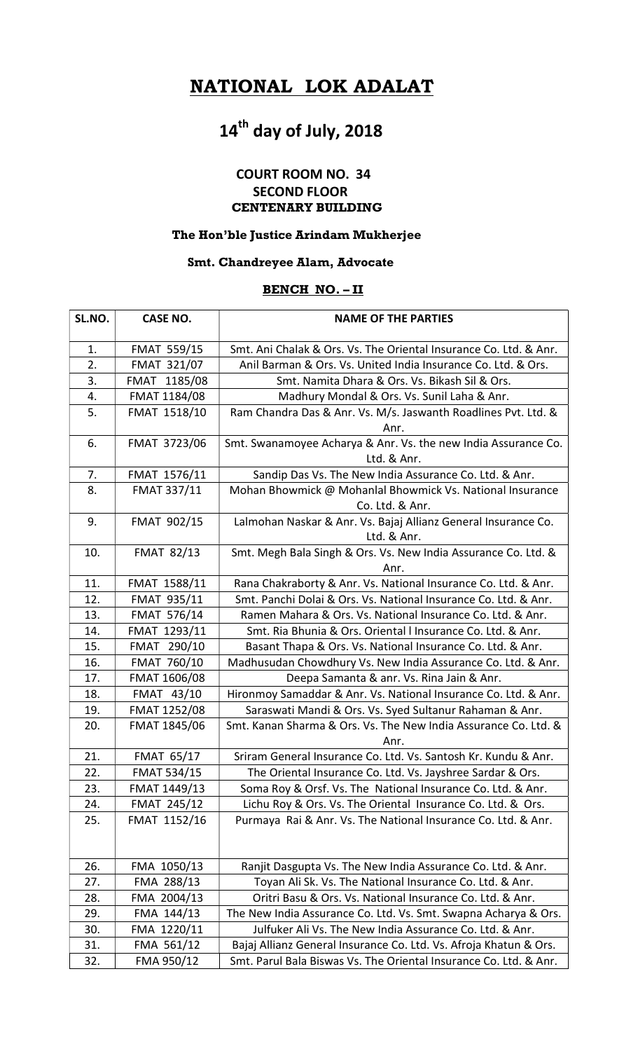# NATIONAL LOK ADALAT

# 14<sup>th</sup> day of July, 2018

# COURT ROOM NO. 34 SECOND FLOOR CENTENARY BUILDING

#### The Hon'ble Justice Arindam Mukherjee

## Smt. Chandreyee Alam, Advocate

## BENCH NO. – II

| SL.NO. | <b>CASE NO.</b>     | <b>NAME OF THE PARTIES</b>                                        |
|--------|---------------------|-------------------------------------------------------------------|
| 1.     | <b>FMAT 559/15</b>  | Smt. Ani Chalak & Ors. Vs. The Oriental Insurance Co. Ltd. & Anr. |
| 2.     | <b>FMAT 321/07</b>  | Anil Barman & Ors. Vs. United India Insurance Co. Ltd. & Ors.     |
| 3.     | FMAT 1185/08        | Smt. Namita Dhara & Ors. Vs. Bikash Sil & Ors.                    |
| 4.     | FMAT 1184/08        | Madhury Mondal & Ors. Vs. Sunil Laha & Anr.                       |
| 5.     | FMAT 1518/10        | Ram Chandra Das & Anr. Vs. M/s. Jaswanth Roadlines Pvt. Ltd. &    |
|        |                     | Anr.                                                              |
| 6.     | FMAT 3723/06        | Smt. Swanamoyee Acharya & Anr. Vs. the new India Assurance Co.    |
|        |                     | Ltd. & Anr.                                                       |
| 7.     | FMAT 1576/11        | Sandip Das Vs. The New India Assurance Co. Ltd. & Anr.            |
| 8.     | FMAT 337/11         | Mohan Bhowmick @ Mohanlal Bhowmick Vs. National Insurance         |
|        |                     | Co. Ltd. & Anr.                                                   |
| 9.     | FMAT 902/15         | Lalmohan Naskar & Anr. Vs. Bajaj Allianz General Insurance Co.    |
|        |                     | Ltd. & Anr.                                                       |
| 10.    | <b>FMAT 82/13</b>   | Smt. Megh Bala Singh & Ors. Vs. New India Assurance Co. Ltd. &    |
|        |                     | Anr.                                                              |
| 11.    | FMAT 1588/11        | Rana Chakraborty & Anr. Vs. National Insurance Co. Ltd. & Anr.    |
| 12.    | <b>FMAT 935/11</b>  | Smt. Panchi Dolai & Ors. Vs. National Insurance Co. Ltd. & Anr.   |
| 13.    | FMAT 576/14         | Ramen Mahara & Ors. Vs. National Insurance Co. Ltd. & Anr.        |
| 14.    | FMAT 1293/11        | Smt. Ria Bhunia & Ors. Oriental I Insurance Co. Ltd. & Anr.       |
| 15.    | FMAT 290/10         | Basant Thapa & Ors. Vs. National Insurance Co. Ltd. & Anr.        |
| 16.    | FMAT 760/10         | Madhusudan Chowdhury Vs. New India Assurance Co. Ltd. & Anr.      |
| 17.    | FMAT 1606/08        | Deepa Samanta & anr. Vs. Rina Jain & Anr.                         |
| 18.    | FMAT 43/10          | Hironmoy Samaddar & Anr. Vs. National Insurance Co. Ltd. & Anr.   |
| 19.    | <b>FMAT 1252/08</b> | Saraswati Mandi & Ors. Vs. Syed Sultanur Rahaman & Anr.           |
| 20.    | FMAT 1845/06        | Smt. Kanan Sharma & Ors. Vs. The New India Assurance Co. Ltd. &   |
|        |                     | Anr.                                                              |
| 21.    | <b>FMAT 65/17</b>   | Sriram General Insurance Co. Ltd. Vs. Santosh Kr. Kundu & Anr.    |
| 22.    | <b>FMAT 534/15</b>  | The Oriental Insurance Co. Ltd. Vs. Jayshree Sardar & Ors.        |
| 23.    | FMAT 1449/13        | Soma Roy & Orsf. Vs. The National Insurance Co. Ltd. & Anr.       |
| 24.    | <b>FMAT 245/12</b>  | Lichu Roy & Ors. Vs. The Oriental Insurance Co. Ltd. & Ors.       |
| 25.    | FMAT 1152/16        | Purmaya Rai & Anr. Vs. The National Insurance Co. Ltd. & Anr.     |
|        |                     |                                                                   |
| 26.    | FMA 1050/13         | Ranjit Dasgupta Vs. The New India Assurance Co. Ltd. & Anr.       |
| 27.    | FMA 288/13          | Toyan Ali Sk. Vs. The National Insurance Co. Ltd. & Anr.          |
| 28.    | FMA 2004/13         | Oritri Basu & Ors. Vs. National Insurance Co. Ltd. & Anr.         |
| 29.    | FMA 144/13          | The New India Assurance Co. Ltd. Vs. Smt. Swapna Acharya & Ors.   |
| 30.    | FMA 1220/11         | Julfuker Ali Vs. The New India Assurance Co. Ltd. & Anr.          |
| 31.    | FMA 561/12          | Bajaj Allianz General Insurance Co. Ltd. Vs. Afroja Khatun & Ors. |
| 32.    | FMA 950/12          | Smt. Parul Bala Biswas Vs. The Oriental Insurance Co. Ltd. & Anr. |